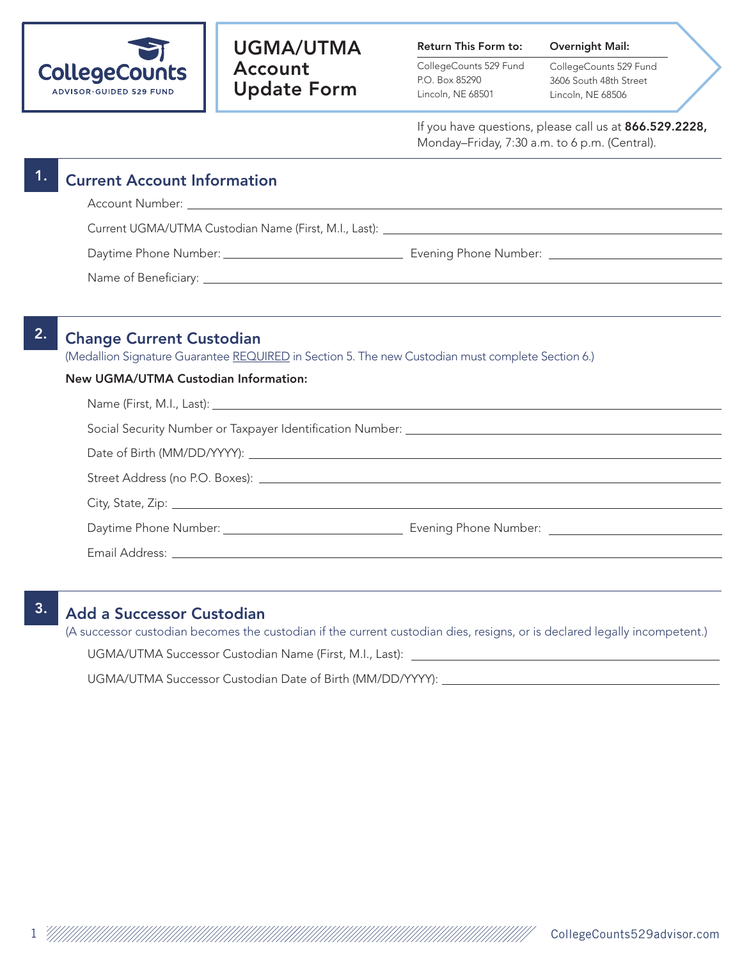

# UGMA/UTMA Account Update Form

Return This Form to:

CollegeCounts 529 Fund P.O. Box 85290 Lincoln, NE 68501

CollegeCounts 529 Fund 3606 South 48th Street Lincoln, NE 68506

Overnight Mail:

If you have questions, please call us at 866.529.2228, Monday–Friday, 7:30 a.m. to 6 p.m. (Central).

|    | <b>Current Account Information</b>                                                                                                                                                                                             |  |  |
|----|--------------------------------------------------------------------------------------------------------------------------------------------------------------------------------------------------------------------------------|--|--|
|    |                                                                                                                                                                                                                                |  |  |
|    |                                                                                                                                                                                                                                |  |  |
|    |                                                                                                                                                                                                                                |  |  |
|    |                                                                                                                                                                                                                                |  |  |
|    |                                                                                                                                                                                                                                |  |  |
| 2. | <b>Change Current Custodian</b>                                                                                                                                                                                                |  |  |
|    | (Medallion Signature Guarantee REQUIRED in Section 5. The new Custodian must complete Section 6.)                                                                                                                              |  |  |
|    | New UGMA/UTMA Custodian Information:                                                                                                                                                                                           |  |  |
|    |                                                                                                                                                                                                                                |  |  |
|    |                                                                                                                                                                                                                                |  |  |
|    |                                                                                                                                                                                                                                |  |  |
|    |                                                                                                                                                                                                                                |  |  |
|    |                                                                                                                                                                                                                                |  |  |
|    |                                                                                                                                                                                                                                |  |  |
|    |                                                                                                                                                                                                                                |  |  |
|    | Email Address: Lawrence and the contract of the contract of the contract of the contract of the contract of the contract of the contract of the contract of the contract of the contract of the contract of the contract of th |  |  |

# 3. Add a Successor Custodian

(A successor custodian becomes the custodian if the current custodian dies, resigns, or is declared legally incompetent.) UGMA/UTMA Successor Custodian Name (First, M.I., Last):

UGMA/UTMA Successor Custodian Date of Birth (MM/DD/YYYY):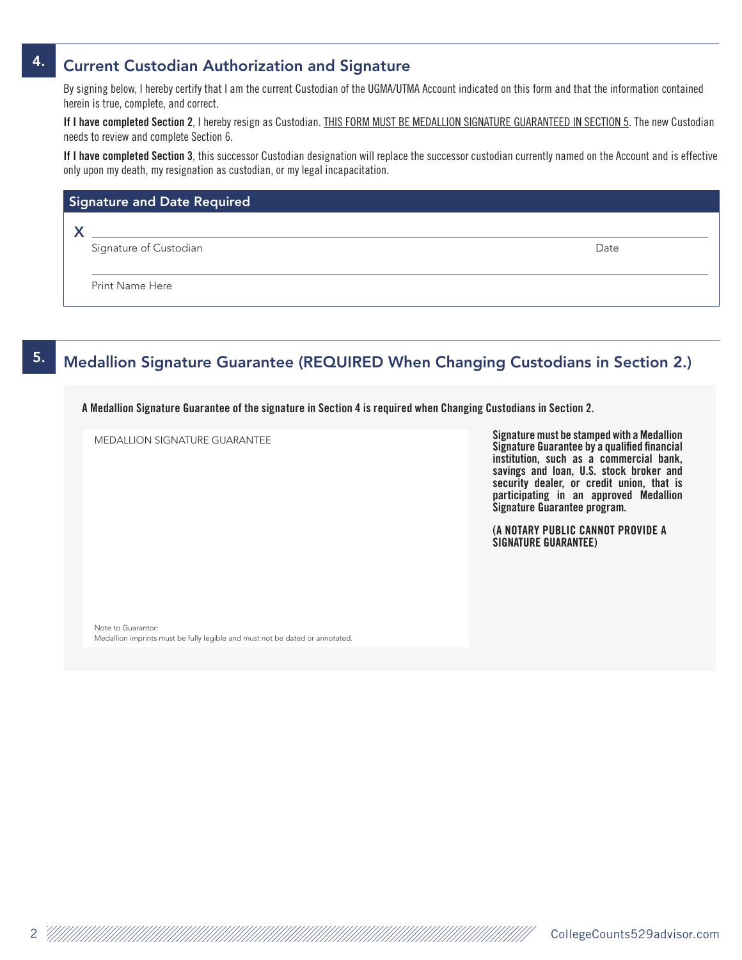#### 4. Current Custodian Authorization and Signature

By signing below, I hereby certify that I am the current Custodian of the UGMA/UTMA Account indicated on this form and that the information contained herein is true, complete, and correct.

If I have completed Section 2, I hereby resign as Custodian. THIS FORM MUST BE MEDALLION SIGNATURE GUARANTEED IN SECTION 5. The new Custodian needs to review and complete Section 6.

If I have completed Section 3, this successor Custodian designation will replace the successor custodian currently named on the Account and is effective only upon my death, my resignation as custodian, or my legal incapacitation.

| Signature and Date Required |                        |      |  |  |
|-----------------------------|------------------------|------|--|--|
|                             |                        |      |  |  |
|                             | Signature of Custodian | Date |  |  |
|                             |                        |      |  |  |
|                             | <b>Print Name Here</b> |      |  |  |
|                             |                        |      |  |  |

### 5. Medallion Signature Guarantee (REQUIRED When Changing Custodians in Section 2.)

A Medallion Signature Guarantee of the signature in Section 4 is required when Changing Custodians in Section 2.

MEDALLION SIGNATURE GUARANTEE

Signature must be stamped with a Medallion Signature Guarantee by a qualified financial institution, such as a commercial bank, savings and loan, U.S. stock broker and security dealer, or credit union, that is participating in an approved Medallion Signature Guarantee program.

(A NOTARY PUBLIC CANNOT PROVIDE A SIGNATURE GUARANTEE)

Note to Guarantor: Medallion imprints must be fully legible and must not be dated or annotated.